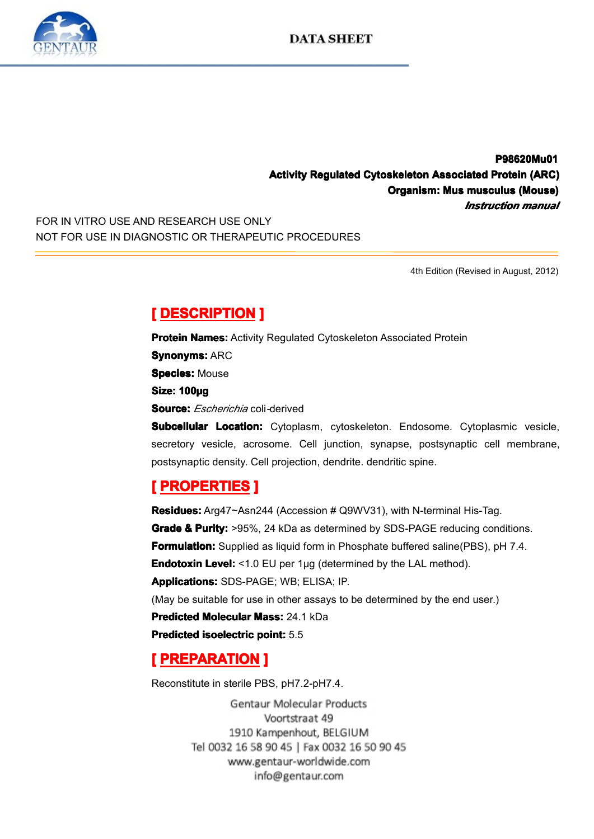

**P98620Mu01 P98620Mu01 P98620Mu01 Activity Regulated Cytoskeleton Associated Protein (ARC)**<br>Organism: Mus musculus (Mouse)<br>*Instruction manual*<br>NOT FOR USE IN DIAGNOSTIC OR THERAPEUTIC PROCEDURES **Organism: Mus nism: musculus smusculus (Mouse) ulus(Mouse)** *Instruction manual*<br> **4th Edition (Revised in August, 2012)** 

FOR IN VITRO USE AND RESEARCH USE ONLY NOT FOR USE IN DIAGNOSTIC OR THERAPEUTIC PROCEDURES

4th Edition (Revised in August, 2012)

**[ DESCRIPTION DESCRIPTION] Protein Names:** Activity Regulated Cytoskeleton Associated Protein<br>**Synonyms:** ARC<br>**Species:** Mouse<br>**Size: 100ug Synonyms: ARC Species: Mouse Size: 100µg**<br> **Source:** *Est*<br> **Subcellular**<br>
secretory vectors **Source:** *Escherichia* coli*-*derived

**Subcellular Location:** Cytoplasm, cytoskeleton. Endosome. Cytoplasmic vesicle, secretory vesicle, acrosome. Cell junction, synapse, postsynaptic cell membrane, postsynaptic density. Cell projection, dendrite. dendritic sp secretory vesicle, acrosome. Cell junction, synapse, postsynaptic cell membrane,<br>postsynaptic density. Cell projection, dendrite. dendritic spine.<br>
[PROPERTIES ]<br>
Residues: Arg47~Asn244 (Accession # Q9WV31), with N-termina

postsynaptic density. Cell projection, dendrite. dendritic spine.<br> **PROPERTIES ]**<br>
Residues: Arg47~Asn244 (Accession # Q9WV31), with N-ter<br>
Grade & Purity: >95%. 24 kDa as determined by SDS-PAGE **Example 2018, PROPERTIES**<br> **Residues:** Arg47~Asn:<br> **Grade & Purity:** >95%<br> **Formulation:** Supplied<br>
Endotoxin Level: <1.0 **Residues:** Arg47~Asn244 (Accession # Q9WV31), with N-terminal His-Tag.<br> **Grade & Purity:** >95%, 24 kDa as determined by SDS-PAGE reducing cone<br> **Formulation:** Supplied as liquid form in Phosphate buffered saline(PBS), pl<br> **Grade & Purity:** >95%, 24 kDa as determined by SDS-PAGE reducing conditions.<br> **Formulation:** Supplied as liquid form in Phosphate buffered saline(PBS), pH 7.4.<br> **Endotoxin Level:** <1.0 EU per 1µg (determined by the LAL me **Formulation:** Supplied as liquid form in Phosphate buffered saline(PBS), pH 7.4.<br> **Endotoxin Level:** <1.0 EU per 1µg (determined by the LAL method).<br> **Applications:** SDS-PAGE; WB; ELISA; IP.<br>
(May be suitable for use in o **Endotoxin Level:** <1.0 EU per 1µg (determined by the LAL method).<br> **Applications:** SDS-PAGE; WB; ELISA; IP.<br>
(May be suitable for use in other assays to be determined by the end<br> **Predicted Molecular Mass:** 24.1 kDa<br> **Pre Applications:**SDS-PAGE; WB; ELISA; IP.<br>(May be suitable for use in other assays to<br>**Predicted Molecular Mass:** 24.1 kDa<br>**Predicted isoelectric point:** 5.5<br>**[PREPARATION ]** (May be suitable for use in other assays to be determined by the end user.) **Predicted Molecular Mass:** 24.1 kDa<br>**Predicted isoelectric point:** 5.5<br>**[ PREPARATION ]**<br>Reconstitute in sterile PBS, pH7.2-pH **Predicted isoelectric point:** 5.5<br> **[PREPARATION ]**<br>
Reconstitute in sterile PBS, pH7.<br>
Gentaur Molec

**EXERUTION PREPARATION**<br>
Reconstitute in sterile PB<br>
Gentau<br>
1910 Ka<br>
Tel 0032 16 58 Reconstitute in sterile PBS, pH7.2-pH7.4.<br>Gentaur Molecular Pro<br>Voortstraat 49<br>1910 Kampenhout, BELO<br>Tel 0032 16 58 90 45 | Fax 003 www.gentaur-worldwide.com info@gentaur.com